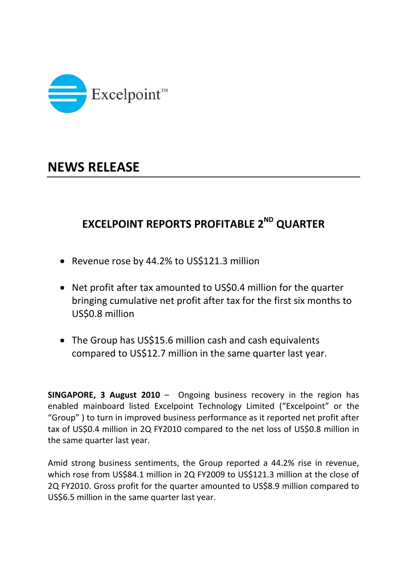

## **NEWS RELEASE**

## **EXCELPOINT REPORTS PROFITABLE 2ND QUARTER**

- Revenue rose by 44.2% to US\$121.3 million
- Net profit after tax amounted to US\$0.4 million for the quarter bringing cumulative net profit after tax for the first six months to US\$0.8 million
- The Group has US\$15.6 million cash and cash equivalents compared to US\$12.7 million in the same quarter last year.

**SINGAPORE, 3 August 2010** – Ongoing business recovery in the region has enabled mainboard listed Excelpoint Technology Limited ("Excelpoint" or the "Group" ) to turn in improved business performance as it reported net profit after tax of US\$0.4 million in 2Q FY2010 compared to the net loss of US\$0.8 million in the same quarter last year.

Amid strong business sentiments, the Group reported a 44.2% rise in revenue, which rose from US\$84.1 million in 2Q FY2009 to US\$121.3 million at the close of 2Q FY2010. Gross profit for the quarter amounted to US\$8.9 million compared to US\$6.5 million in the same quarter last year.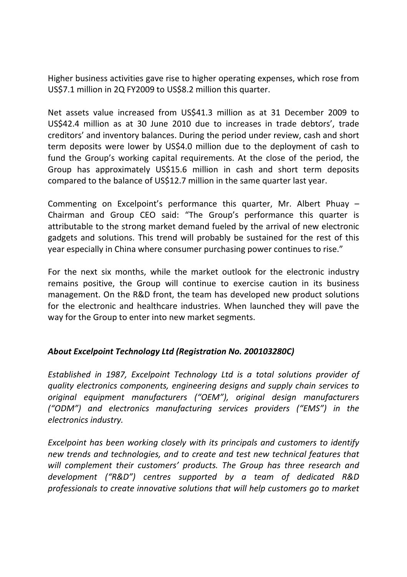Higher business activities gave rise to higher operating expenses, which rose from US\$7.1 million in 2Q FY2009 to US\$8.2 million this quarter.

Net assets value increased from US\$41.3 million as at 31 December 2009 to US\$42.4 million as at 30 June 2010 due to increases in trade debtors', trade creditors' and inventory balances. During the period under review, cash and short term deposits were lower by US\$4.0 million due to the deployment of cash to fund the Group's working capital requirements. At the close of the period, the Group has approximately US\$15.6 million in cash and short term deposits compared to the balance of US\$12.7 million in the same quarter last year.

Commenting on Excelpoint's performance this quarter, Mr. Albert Phuay – Chairman and Group CEO said: "The Group's performance this quarter is attributable to the strong market demand fueled by the arrival of new electronic gadgets and solutions. This trend will probably be sustained for the rest of this year especially in China where consumer purchasing power continues to rise."

For the next six months, while the market outlook for the electronic industry remains positive, the Group will continue to exercise caution in its business management. On the R&D front, the team has developed new product solutions for the electronic and healthcare industries. When launched they will pave the way for the Group to enter into new market segments.

## *About Excelpoint Technology Ltd (Registration No. 200103280C)*

*Established in 1987, Excelpoint Technology Ltd is a total solutions provider of quality electronics components, engineering designs and supply chain services to original equipment manufacturers ("OEM"), original design manufacturers ("ODM") and electronics manufacturing services providers ("EMS") in the electronics industry.*

*Excelpoint has been working closely with its principals and customers to identify new trends and technologies, and to create and test new technical features that will complement their customers' products. The Group has three research and development ("R&D") centres supported by a team of dedicated R&D professionals to create innovative solutions that will help customers go to market*